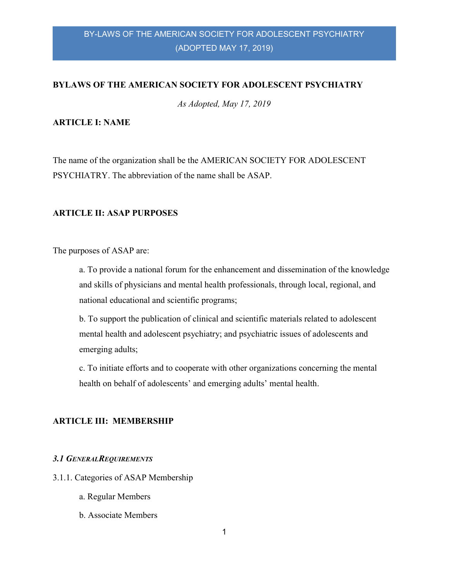### BYLAWS OF THE AMERICAN SOCIETY FOR ADOLESCENT PSYCHIATRY

As Adopted, May 17, 2019

### ARTICLE I: NAME

The name of the organization shall be the AMERICAN SOCIETY FOR ADOLESCENT PSYCHIATRY. The abbreviation of the name shall be ASAP.

### ARTICLE II: ASAP PURPOSES

The purposes of ASAP are:

a. To provide a national forum for the enhancement and dissemination of the knowledge and skills of physicians and mental health professionals, through local, regional, and national educational and scientific programs;

b. To support the publication of clinical and scientific materials related to adolescent mental health and adolescent psychiatry; and psychiatric issues of adolescents and emerging adults;

c. To initiate efforts and to cooperate with other organizations concerning the mental health on behalf of adolescents' and emerging adults' mental health.

## ARTICLE III: MEMBERSHIP

#### 3.1 GENERALREQUIREMENTS

3.1.1. Categories of ASAP Membership

- a. Regular Members
- b. Associate Members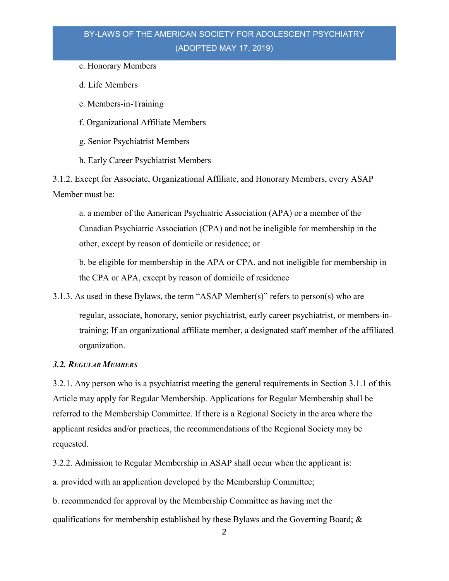- c. Honorary Members
- d. Life Members
- e. Members-in-Training
- f. Organizational Affiliate Members
- g. Senior Psychiatrist Members
- h. Early Career Psychiatrist Members

3.1.2. Except for Associate, Organizational Affiliate, and Honorary Members, every ASAP Member must be:

a. a member of the American Psychiatric Association (APA) or a member of the Canadian Psychiatric Association (CPA) and not be ineligible for membership in the other, except by reason of domicile or residence; or

b. be eligible for membership in the APA or CPA, and not ineligible for membership in the CPA or APA, except by reason of domicile of residence

3.1.3. As used in these Bylaws, the term "ASAP Member(s)" refers to person(s) who are

regular, associate, honorary, senior psychiatrist, early career psychiatrist, or members-intraining; If an organizational affiliate member, a designated staff member of the affiliated organization.

### 3.2. REGULAR MEMBERS

3.2.1. Any person who is a psychiatrist meeting the general requirements in Section 3.1.1 of this Article may apply for Regular Membership. Applications for Regular Membership shall be referred to the Membership Committee. If there is a Regional Society in the area where the applicant resides and/or practices, the recommendations of the Regional Society may be requested.

3.2.2. Admission to Regular Membership in ASAP shall occur when the applicant is:

a. provided with an application developed by the Membership Committee;

b. recommended for approval by the Membership Committee as having met the

qualifications for membership established by these Bylaws and the Governing Board; &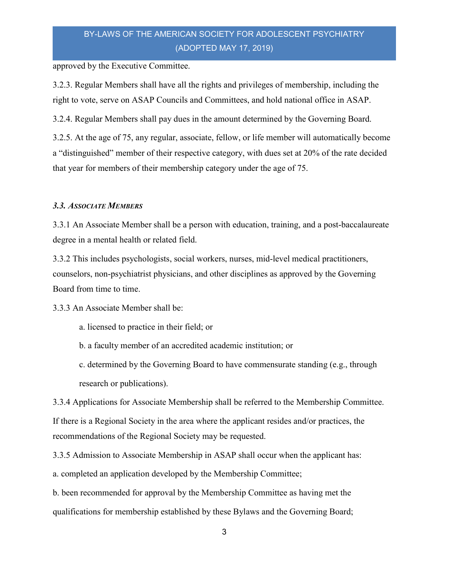approved by the Executive Committee.

3.2.3. Regular Members shall have all the rights and privileges of membership, including the right to vote, serve on ASAP Councils and Committees, and hold national office in ASAP.

3.2.4. Regular Members shall pay dues in the amount determined by the Governing Board.

3.2.5. At the age of 75, any regular, associate, fellow, or life member will automatically become a "distinguished" member of their respective category, with dues set at 20% of the rate decided that year for members of their membership category under the age of 75.

### 3.3. ASSOCIATE MEMBERS

3.3.1 An Associate Member shall be a person with education, training, and a post-baccalaureate degree in a mental health or related field.

3.3.2 This includes psychologists, social workers, nurses, mid-level medical practitioners, counselors, non-psychiatrist physicians, and other disciplines as approved by the Governing Board from time to time.

3.3.3 An Associate Member shall be:

a. licensed to practice in their field; or

b. a faculty member of an accredited academic institution; or

c. determined by the Governing Board to have commensurate standing (e.g., through research or publications).

3.3.4 Applications for Associate Membership shall be referred to the Membership Committee.

If there is a Regional Society in the area where the applicant resides and/or practices, the recommendations of the Regional Society may be requested.

3.3.5 Admission to Associate Membership in ASAP shall occur when the applicant has:

a. completed an application developed by the Membership Committee;

b. been recommended for approval by the Membership Committee as having met the qualifications for membership established by these Bylaws and the Governing Board;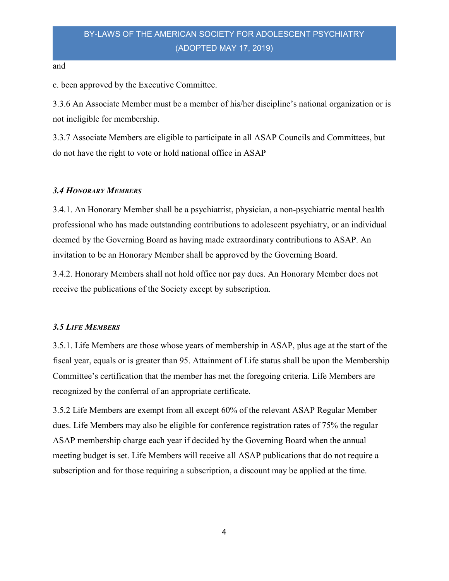#### and

c. been approved by the Executive Committee.

3.3.6 An Associate Member must be a member of his/her discipline's national organization or is not ineligible for membership.

3.3.7 Associate Members are eligible to participate in all ASAP Councils and Committees, but do not have the right to vote or hold national office in ASAP

### 3.4 HONORARY MEMBERS

3.4.1. An Honorary Member shall be a psychiatrist, physician, a non-psychiatric mental health professional who has made outstanding contributions to adolescent psychiatry, or an individual deemed by the Governing Board as having made extraordinary contributions to ASAP. An invitation to be an Honorary Member shall be approved by the Governing Board.

3.4.2. Honorary Members shall not hold office nor pay dues. An Honorary Member does not receive the publications of the Society except by subscription.

#### 3.5 LIFE MEMBERS

3.5.1. Life Members are those whose years of membership in ASAP, plus age at the start of the fiscal year, equals or is greater than 95. Attainment of Life status shall be upon the Membership Committee's certification that the member has met the foregoing criteria. Life Members are recognized by the conferral of an appropriate certificate.

3.5.2 Life Members are exempt from all except 60% of the relevant ASAP Regular Member dues. Life Members may also be eligible for conference registration rates of 75% the regular ASAP membership charge each year if decided by the Governing Board when the annual meeting budget is set. Life Members will receive all ASAP publications that do not require a subscription and for those requiring a subscription, a discount may be applied at the time.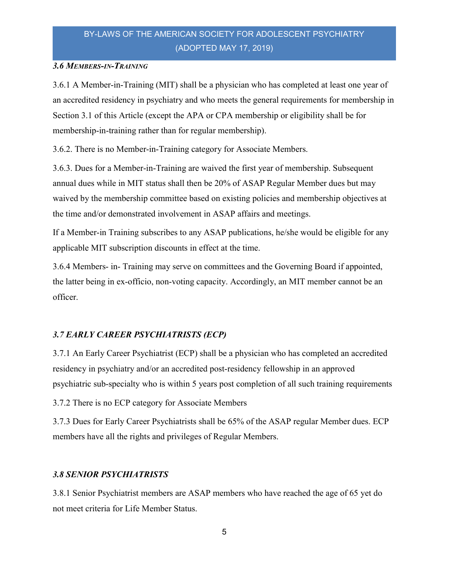## 3.6 MEMBERS-IN-TRAINING

3.6.1 A Member-in-Training (MIT) shall be a physician who has completed at least one year of an accredited residency in psychiatry and who meets the general requirements for membership in Section 3.1 of this Article (except the APA or CPA membership or eligibility shall be for membership-in-training rather than for regular membership).

3.6.2. There is no Member-in-Training category for Associate Members.

3.6.3. Dues for a Member-in-Training are waived the first year of membership. Subsequent annual dues while in MIT status shall then be 20% of ASAP Regular Member dues but may waived by the membership committee based on existing policies and membership objectives at the time and/or demonstrated involvement in ASAP affairs and meetings.

If a Member-in Training subscribes to any ASAP publications, he/she would be eligible for any applicable MIT subscription discounts in effect at the time.

3.6.4 Members- in- Training may serve on committees and the Governing Board if appointed, the latter being in ex-officio, non-voting capacity. Accordingly, an MIT member cannot be an officer.

## 3.7 EARLY CAREER PSYCHIATRISTS (ECP)

3.7.1 An Early Career Psychiatrist (ECP) shall be a physician who has completed an accredited residency in psychiatry and/or an accredited post-residency fellowship in an approved psychiatric sub-specialty who is within 5 years post completion of all such training requirements

3.7.2 There is no ECP category for Associate Members

3.7.3 Dues for Early Career Psychiatrists shall be 65% of the ASAP regular Member dues. ECP members have all the rights and privileges of Regular Members.

## 3.8 SENIOR PSYCHIATRISTS

3.8.1 Senior Psychiatrist members are ASAP members who have reached the age of 65 yet do not meet criteria for Life Member Status.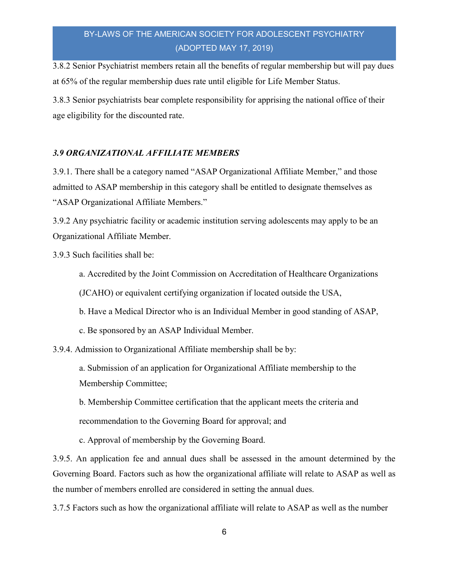3.8.2 Senior Psychiatrist members retain all the benefits of regular membership but will pay dues at 65% of the regular membership dues rate until eligible for Life Member Status.

3.8.3 Senior psychiatrists bear complete responsibility for apprising the national office of their age eligibility for the discounted rate.

### 3.9 ORGANIZATIONAL AFFILIATE MEMBERS

3.9.1. There shall be a category named "ASAP Organizational Affiliate Member," and those admitted to ASAP membership in this category shall be entitled to designate themselves as "ASAP Organizational Affiliate Members."

3.9.2 Any psychiatric facility or academic institution serving adolescents may apply to be an Organizational Affiliate Member.

3.9.3 Such facilities shall be:

a. Accredited by the Joint Commission on Accreditation of Healthcare Organizations

(JCAHO) or equivalent certifying organization if located outside the USA,

b. Have a Medical Director who is an Individual Member in good standing of ASAP,

c. Be sponsored by an ASAP Individual Member.

3.9.4. Admission to Organizational Affiliate membership shall be by:

a. Submission of an application for Organizational Affiliate membership to the Membership Committee;

b. Membership Committee certification that the applicant meets the criteria and recommendation to the Governing Board for approval; and

c. Approval of membership by the Governing Board.

3.9.5. An application fee and annual dues shall be assessed in the amount determined by the Governing Board. Factors such as how the organizational affiliate will relate to ASAP as well as the number of members enrolled are considered in setting the annual dues.

3.7.5 Factors such as how the organizational affiliate will relate to ASAP as well as the number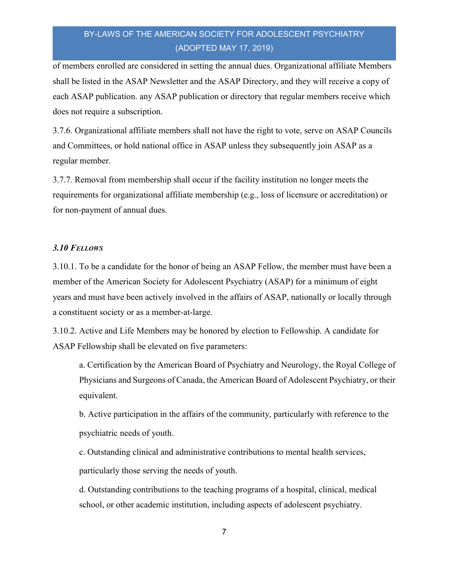of members enrolled are considered in setting the annual dues. Organizational affiliate Members shall be listed in the ASAP Newsletter and the ASAP Directory, and they will receive a copy of each ASAP publication. any ASAP publication or directory that regular members receive which does not require a subscription.

3.7.6. Organizational affiliate members shall not have the right to vote, serve on ASAP Councils and Committees, or hold national office in ASAP unless they subsequently join ASAP as a regular member.

3.7.7. Removal from membership shall occur if the facility institution no longer meets the requirements for organizational affiliate membership (e.g., loss of licensure or accreditation) or for non-payment of annual dues.

### 3.10 FELLOWS

3.10.1. To be a candidate for the honor of being an ASAP Fellow, the member must have been a member of the American Society for Adolescent Psychiatry (ASAP) for a minimum of eight years and must have been actively involved in the affairs of ASAP, nationally or locally through a constituent society or as a member-at-large.

3.10.2. Active and Life Members may be honored by election to Fellowship. A candidate for ASAP Fellowship shall be elevated on five parameters:

a. Certification by the American Board of Psychiatry and Neurology, the Royal College of Physicians and Surgeons of Canada, the American Board of Adolescent Psychiatry, or their equivalent.

b. Active participation in the affairs of the community, particularly with reference to the psychiatric needs of youth.

c. Outstanding clinical and administrative contributions to mental health services, particularly those serving the needs of youth.

d. Outstanding contributions to the teaching programs of a hospital, clinical, medical school, or other academic institution, including aspects of adolescent psychiatry.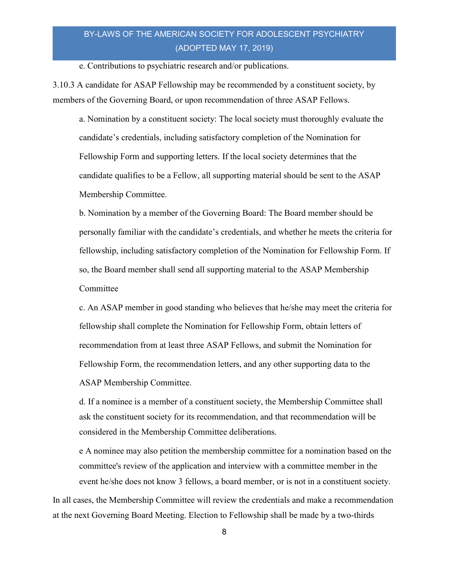e. Contributions to psychiatric research and/or publications.

3.10.3 A candidate for ASAP Fellowship may be recommended by a constituent society, by members of the Governing Board, or upon recommendation of three ASAP Fellows.

a. Nomination by a constituent society: The local society must thoroughly evaluate the candidate's credentials, including satisfactory completion of the Nomination for Fellowship Form and supporting letters. If the local society determines that the candidate qualifies to be a Fellow, all supporting material should be sent to the ASAP Membership Committee.

b. Nomination by a member of the Governing Board: The Board member should be personally familiar with the candidate's credentials, and whether he meets the criteria for fellowship, including satisfactory completion of the Nomination for Fellowship Form. If so, the Board member shall send all supporting material to the ASAP Membership **Committee** 

c. An ASAP member in good standing who believes that he/she may meet the criteria for fellowship shall complete the Nomination for Fellowship Form, obtain letters of recommendation from at least three ASAP Fellows, and submit the Nomination for Fellowship Form, the recommendation letters, and any other supporting data to the ASAP Membership Committee.

d. If a nominee is a member of a constituent society, the Membership Committee shall ask the constituent society for its recommendation, and that recommendation will be considered in the Membership Committee deliberations.

e A nominee may also petition the membership committee for a nomination based on the committee's review of the application and interview with a committee member in the event he/she does not know 3 fellows, a board member, or is not in a constituent society.

In all cases, the Membership Committee will review the credentials and make a recommendation at the next Governing Board Meeting. Election to Fellowship shall be made by a two-thirds

8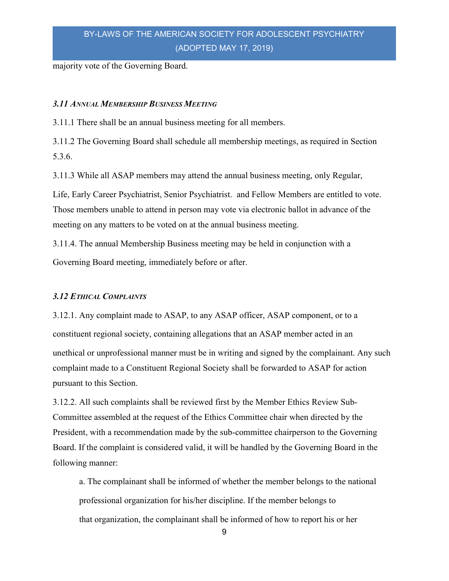majority vote of the Governing Board.

#### 3.11 ANNUAL MEMBERSHIP BUSINESS MEETING

3.11.1 There shall be an annual business meeting for all members.

3.11.2 The Governing Board shall schedule all membership meetings, as required in Section 5.3.6.

3.11.3 While all ASAP members may attend the annual business meeting, only Regular, Life, Early Career Psychiatrist, Senior Psychiatrist. and Fellow Members are entitled to vote. Those members unable to attend in person may vote via electronic ballot in advance of the meeting on any matters to be voted on at the annual business meeting.

3.11.4. The annual Membership Business meeting may be held in conjunction with a Governing Board meeting, immediately before or after.

#### 3.12 ETHICAL COMPLAINTS

3.12.1. Any complaint made to ASAP, to any ASAP officer, ASAP component, or to a constituent regional society, containing allegations that an ASAP member acted in an unethical or unprofessional manner must be in writing and signed by the complainant. Any such complaint made to a Constituent Regional Society shall be forwarded to ASAP for action pursuant to this Section.

3.12.2. All such complaints shall be reviewed first by the Member Ethics Review Sub-Committee assembled at the request of the Ethics Committee chair when directed by the President, with a recommendation made by the sub-committee chairperson to the Governing Board. If the complaint is considered valid, it will be handled by the Governing Board in the following manner:

a. The complainant shall be informed of whether the member belongs to the national professional organization for his/her discipline. If the member belongs to that organization, the complainant shall be informed of how to report his or her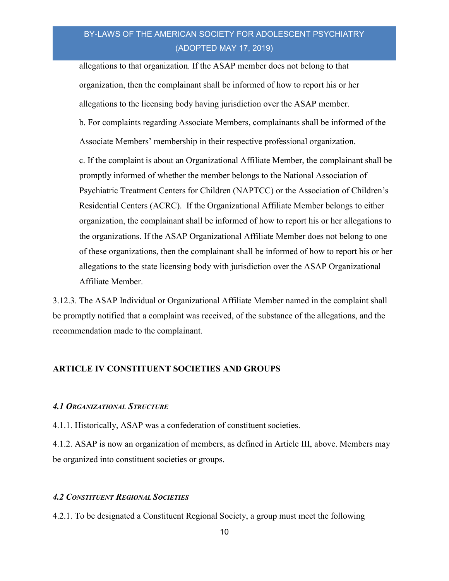allegations to that organization. If the ASAP member does not belong to that organization, then the complainant shall be informed of how to report his or her allegations to the licensing body having jurisdiction over the ASAP member. b. For complaints regarding Associate Members, complainants shall be informed of the Associate Members' membership in their respective professional organization. c. If the complaint is about an Organizational Affiliate Member, the complainant shall be promptly informed of whether the member belongs to the National Association of Psychiatric Treatment Centers for Children (NAPTCC) or the Association of Children's Residential Centers (ACRC). If the Organizational Affiliate Member belongs to either organization, the complainant shall be informed of how to report his or her allegations to the organizations. If the ASAP Organizational Affiliate Member does not belong to one of these organizations, then the complainant shall be informed of how to report his or her allegations to the state licensing body with jurisdiction over the ASAP Organizational Affiliate Member.

3.12.3. The ASAP Individual or Organizational Affiliate Member named in the complaint shall be promptly notified that a complaint was received, of the substance of the allegations, and the recommendation made to the complainant.

#### ARTICLE IV CONSTITUENT SOCIETIES AND GROUPS

#### 4.1 ORGANIZATIONAL STRUCTURE

4.1.1. Historically, ASAP was a confederation of constituent societies.

4.1.2. ASAP is now an organization of members, as defined in Article III, above. Members may be organized into constituent societies or groups.

### 4.2 CONSTITUENT REGIONAL SOCIETIES

4.2.1. To be designated a Constituent Regional Society, a group must meet the following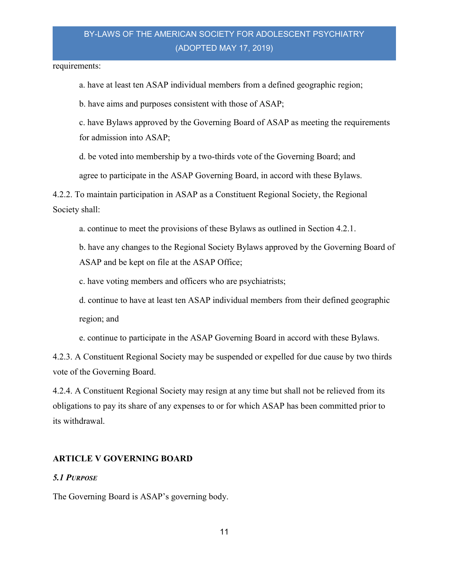requirements:

a. have at least ten ASAP individual members from a defined geographic region;

b. have aims and purposes consistent with those of ASAP;

c. have Bylaws approved by the Governing Board of ASAP as meeting the requirements for admission into ASAP;

d. be voted into membership by a two-thirds vote of the Governing Board; and

agree to participate in the ASAP Governing Board, in accord with these Bylaws.

4.2.2. To maintain participation in ASAP as a Constituent Regional Society, the Regional Society shall:

a. continue to meet the provisions of these Bylaws as outlined in Section 4.2.1.

b. have any changes to the Regional Society Bylaws approved by the Governing Board of ASAP and be kept on file at the ASAP Office;

c. have voting members and officers who are psychiatrists;

d. continue to have at least ten ASAP individual members from their defined geographic region; and

e. continue to participate in the ASAP Governing Board in accord with these Bylaws.

4.2.3. A Constituent Regional Society may be suspended or expelled for due cause by two thirds vote of the Governing Board.

4.2.4. A Constituent Regional Society may resign at any time but shall not be relieved from its obligations to pay its share of any expenses to or for which ASAP has been committed prior to its withdrawal.

## ARTICLE V GOVERNING BOARD

### 5.1 PURPOSE

The Governing Board is ASAP's governing body.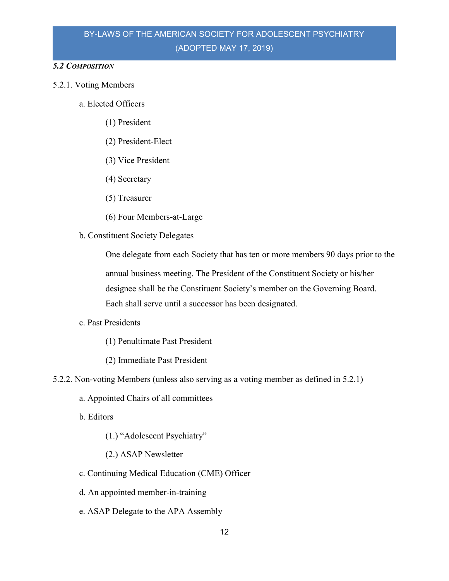### 5.2 COMPOSITION

- 5.2.1. Voting Members
	- a. Elected Officers
		- (1) President
		- (2) President-Elect
		- (3) Vice President
		- (4) Secretary
		- (5) Treasurer
		- (6) Four Members-at-Large
	- b. Constituent Society Delegates

One delegate from each Society that has ten or more members 90 days prior to the annual business meeting. The President of the Constituent Society or his/her designee shall be the Constituent Society's member on the Governing Board. Each shall serve until a successor has been designated.

## c. Past Presidents

- (1) Penultimate Past President
- (2) Immediate Past President
- 5.2.2. Non-voting Members (unless also serving as a voting member as defined in 5.2.1)
	- a. Appointed Chairs of all committees
	- b. Editors
		- (1.) "Adolescent Psychiatry"
		- (2.) ASAP Newsletter
	- c. Continuing Medical Education (CME) Officer
	- d. An appointed member-in-training
	- e. ASAP Delegate to the APA Assembly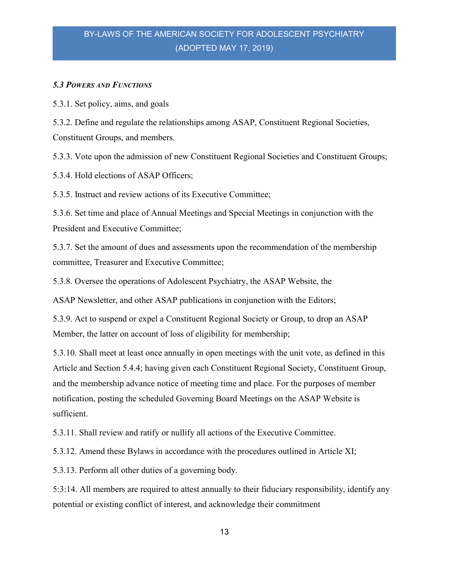### 5.3 POWERS AND FUNCTIONS

5.3.1. Set policy, aims, and goals

5.3.2. Define and regulate the relationships among ASAP, Constituent Regional Societies, Constituent Groups, and members.

5.3.3. Vote upon the admission of new Constituent Regional Societies and Constituent Groups;

5.3.4. Hold elections of ASAP Officers;

5.3.5. Instruct and review actions of its Executive Committee;

5.3.6. Set time and place of Annual Meetings and Special Meetings in conjunction with the President and Executive Committee;

5.3.7. Set the amount of dues and assessments upon the recommendation of the membership committee, Treasurer and Executive Committee;

5.3.8. Oversee the operations of Adolescent Psychiatry, the ASAP Website, the

ASAP Newsletter, and other ASAP publications in conjunction with the Editors;

5.3.9. Act to suspend or expel a Constituent Regional Society or Group, to drop an ASAP Member, the latter on account of loss of eligibility for membership;

5.3.10. Shall meet at least once annually in open meetings with the unit vote, as defined in this Article and Section 5.4.4; having given each Constituent Regional Society, Constituent Group, and the membership advance notice of meeting time and place. For the purposes of member notification, posting the scheduled Governing Board Meetings on the ASAP Website is sufficient.

5.3.11. Shall review and ratify or nullify all actions of the Executive Committee.

5.3.12. Amend these Bylaws in accordance with the procedures outlined in Article XI;

5.3.13. Perform all other duties of a governing body.

5:3:14. All members are required to attest annually to their fiduciary responsibility, identify any potential or existing conflict of interest, and acknowledge their commitment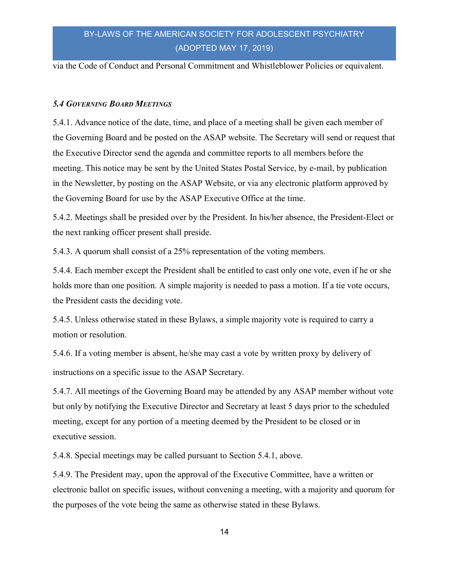via the Code of Conduct and Personal Commitment and Whistleblower Policies or equivalent.

## 5.4 GOVERNING BOARD MEETINGS

5.4.1. Advance notice of the date, time, and place of a meeting shall be given each member of the Governing Board and be posted on the ASAP website. The Secretary will send or request that the Executive Director send the agenda and committee reports to all members before the meeting. This notice may be sent by the United States Postal Service, by e-mail, by publication in the Newsletter, by posting on the ASAP Website, or via any electronic platform approved by the Governing Board for use by the ASAP Executive Office at the time.

5.4.2. Meetings shall be presided over by the President. In his/her absence, the President-Elect or the next ranking officer present shall preside.

5.4.3. A quorum shall consist of a 25% representation of the voting members.

5.4.4. Each member except the President shall be entitled to cast only one vote, even if he or she holds more than one position. A simple majority is needed to pass a motion. If a tie vote occurs, the President casts the deciding vote.

5.4.5. Unless otherwise stated in these Bylaws, a simple majority vote is required to carry a motion or resolution.

5.4.6. If a voting member is absent, he/she may cast a vote by written proxy by delivery of instructions on a specific issue to the ASAP Secretary.

5.4.7. All meetings of the Governing Board may be attended by any ASAP member without vote but only by notifying the Executive Director and Secretary at least 5 days prior to the scheduled meeting, except for any portion of a meeting deemed by the President to be closed or in executive session.

5.4.8. Special meetings may be called pursuant to Section 5.4.1, above.

5.4.9. The President may, upon the approval of the Executive Committee, have a written or electronic ballot on specific issues, without convening a meeting, with a majority and quorum for the purposes of the vote being the same as otherwise stated in these Bylaws.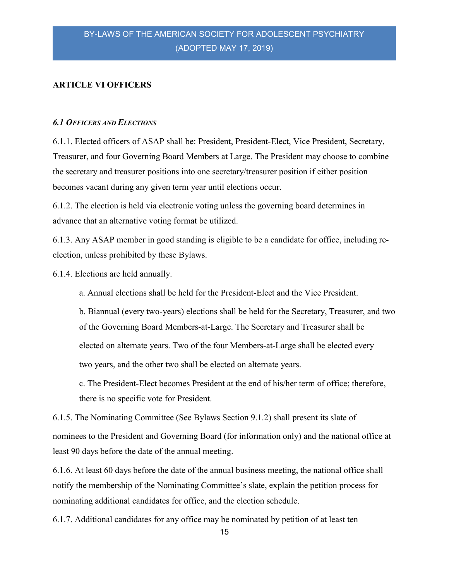## ARTICLE VI OFFICERS

### 6.1 OFFICERS AND ELECTIONS

6.1.1. Elected officers of ASAP shall be: President, President-Elect, Vice President, Secretary, Treasurer, and four Governing Board Members at Large. The President may choose to combine the secretary and treasurer positions into one secretary/treasurer position if either position becomes vacant during any given term year until elections occur.

6.1.2. The election is held via electronic voting unless the governing board determines in advance that an alternative voting format be utilized.

6.1.3. Any ASAP member in good standing is eligible to be a candidate for office, including reelection, unless prohibited by these Bylaws.

6.1.4. Elections are held annually.

a. Annual elections shall be held for the President-Elect and the Vice President.

b. Biannual (every two-years) elections shall be held for the Secretary, Treasurer, and two of the Governing Board Members-at-Large. The Secretary and Treasurer shall be elected on alternate years. Two of the four Members-at-Large shall be elected every two years, and the other two shall be elected on alternate years.

c. The President-Elect becomes President at the end of his/her term of office; therefore, there is no specific vote for President.

6.1.5. The Nominating Committee (See Bylaws Section 9.1.2) shall present its slate of nominees to the President and Governing Board (for information only) and the national office at least 90 days before the date of the annual meeting.

6.1.6. At least 60 days before the date of the annual business meeting, the national office shall notify the membership of the Nominating Committee's slate, explain the petition process for nominating additional candidates for office, and the election schedule.

6.1.7. Additional candidates for any office may be nominated by petition of at least ten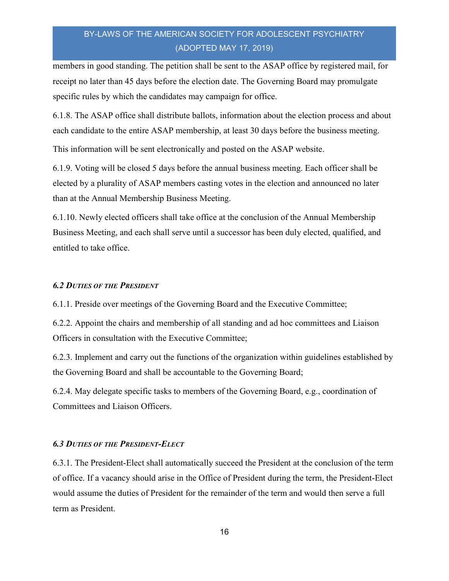members in good standing. The petition shall be sent to the ASAP office by registered mail, for receipt no later than 45 days before the election date. The Governing Board may promulgate specific rules by which the candidates may campaign for office.

6.1.8. The ASAP office shall distribute ballots, information about the election process and about each candidate to the entire ASAP membership, at least 30 days before the business meeting.

This information will be sent electronically and posted on the ASAP website.

6.1.9. Voting will be closed 5 days before the annual business meeting. Each officer shall be elected by a plurality of ASAP members casting votes in the election and announced no later than at the Annual Membership Business Meeting.

6.1.10. Newly elected officers shall take office at the conclusion of the Annual Membership Business Meeting, and each shall serve until a successor has been duly elected, qualified, and entitled to take office.

### 6.2 DUTIES OF THE PRESIDENT

6.1.1. Preside over meetings of the Governing Board and the Executive Committee;

6.2.2. Appoint the chairs and membership of all standing and ad hoc committees and Liaison Officers in consultation with the Executive Committee;

6.2.3. Implement and carry out the functions of the organization within guidelines established by the Governing Board and shall be accountable to the Governing Board;

6.2.4. May delegate specific tasks to members of the Governing Board, e.g., coordination of Committees and Liaison Officers.

### 6.3 DUTIES OF THE PRESIDENT-ELECT

6.3.1. The President-Elect shall automatically succeed the President at the conclusion of the term of office. If a vacancy should arise in the Office of President during the term, the President-Elect would assume the duties of President for the remainder of the term and would then serve a full term as President.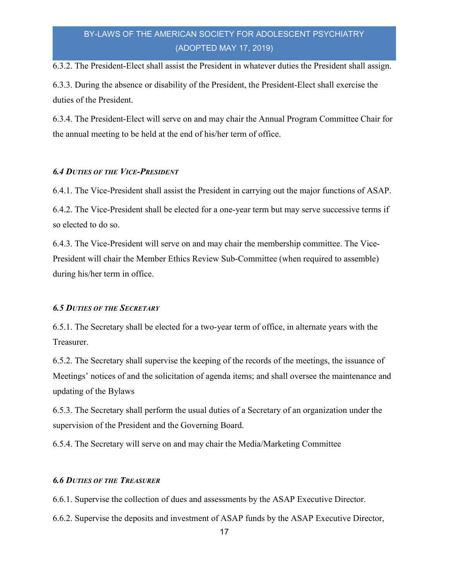6.3.2. The President-Elect shall assist the President in whatever duties the President shall assign.

6.3.3. During the absence or disability of the President, the President-Elect shall exercise the duties of the President.

6.3.4. The President-Elect will serve on and may chair the Annual Program Committee Chair for the annual meeting to be held at the end of his/her term of office.

### 6.4 DUTIES OF THE VICE-PRESIDENT

6.4.1. The Vice-President shall assist the President in carrying out the major functions of ASAP.

6.4.2. The Vice-President shall be elected for a one-year term but may serve successive terms if so elected to do so.

6.4.3. The Vice-President will serve on and may chair the membership committee. The Vice-President will chair the Member Ethics Review Sub-Committee (when required to assemble) during his/her term in office.

### 6.5 DUTIES OF THE SECRETARY

6.5.1. The Secretary shall be elected for a two-year term of office, in alternate years with the Treasurer.

6.5.2. The Secretary shall supervise the keeping of the records of the meetings, the issuance of Meetings' notices of and the solicitation of agenda items; and shall oversee the maintenance and updating of the Bylaws

6.5.3. The Secretary shall perform the usual duties of a Secretary of an organization under the supervision of the President and the Governing Board.

6.5.4. The Secretary will serve on and may chair the Media/Marketing Committee

## 6.6 DUTIES OF THE TREASURER

6.6.1. Supervise the collection of dues and assessments by the ASAP Executive Director.

6.6.2. Supervise the deposits and investment of ASAP funds by the ASAP Executive Director,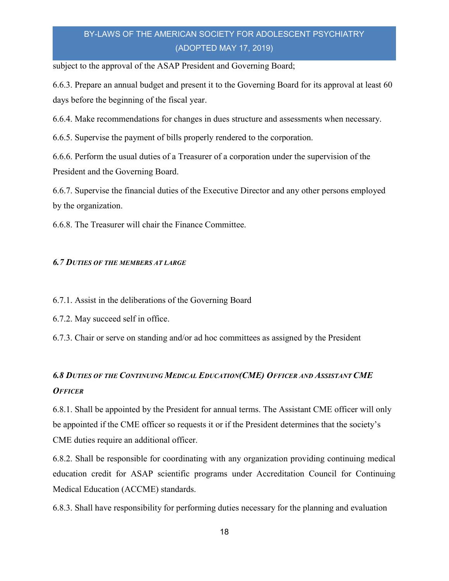subject to the approval of the ASAP President and Governing Board;

6.6.3. Prepare an annual budget and present it to the Governing Board for its approval at least 60 days before the beginning of the fiscal year.

6.6.4. Make recommendations for changes in dues structure and assessments when necessary.

6.6.5. Supervise the payment of bills properly rendered to the corporation.

6.6.6. Perform the usual duties of a Treasurer of a corporation under the supervision of the President and the Governing Board.

6.6.7. Supervise the financial duties of the Executive Director and any other persons employed by the organization.

6.6.8. The Treasurer will chair the Finance Committee.

### 6.7 DUTIES OF THE MEMBERS AT LARGE

6.7.1. Assist in the deliberations of the Governing Board

6.7.2. May succeed self in office.

6.7.3. Chair or serve on standing and/or ad hoc committees as assigned by the President

# 6.8 DUTIES OF THE CONTINUING MEDICAL EDUCATION(CME) OFFICER AND ASSISTANT CME **OFFICER**

6.8.1. Shall be appointed by the President for annual terms. The Assistant CME officer will only be appointed if the CME officer so requests it or if the President determines that the society's CME duties require an additional officer.

6.8.2. Shall be responsible for coordinating with any organization providing continuing medical education credit for ASAP scientific programs under Accreditation Council for Continuing Medical Education (ACCME) standards.

6.8.3. Shall have responsibility for performing duties necessary for the planning and evaluation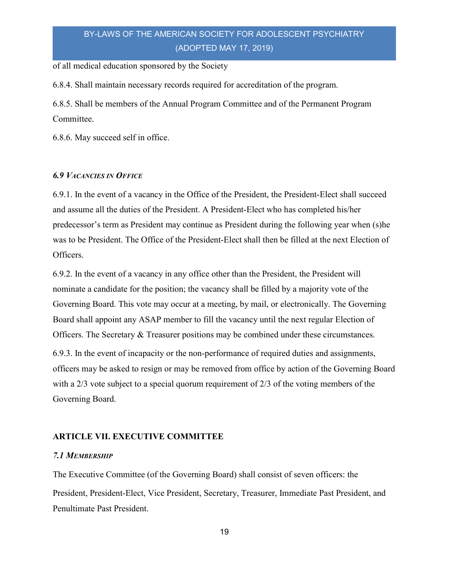of all medical education sponsored by the Society

6.8.4. Shall maintain necessary records required for accreditation of the program.

6.8.5. Shall be members of the Annual Program Committee and of the Permanent Program Committee.

6.8.6. May succeed self in office.

## 6.9 VACANCIES IN OFFICE

6.9.1. In the event of a vacancy in the Office of the President, the President-Elect shall succeed and assume all the duties of the President. A President-Elect who has completed his/her predecessor's term as President may continue as President during the following year when (s)he was to be President. The Office of the President-Elect shall then be filled at the next Election of Officers.

6.9.2. In the event of a vacancy in any office other than the President, the President will nominate a candidate for the position; the vacancy shall be filled by a majority vote of the Governing Board. This vote may occur at a meeting, by mail, or electronically. The Governing Board shall appoint any ASAP member to fill the vacancy until the next regular Election of Officers. The Secretary & Treasurer positions may be combined under these circumstances.

6.9.3. In the event of incapacity or the non-performance of required duties and assignments, officers may be asked to resign or may be removed from office by action of the Governing Board with a 2/3 vote subject to a special quorum requirement of 2/3 of the voting members of the Governing Board.

#### ARTICLE VII. EXECUTIVE COMMITTEE

### 7.1 MEMBERSHIP

The Executive Committee (of the Governing Board) shall consist of seven officers: the President, President-Elect, Vice President, Secretary, Treasurer, Immediate Past President, and Penultimate Past President.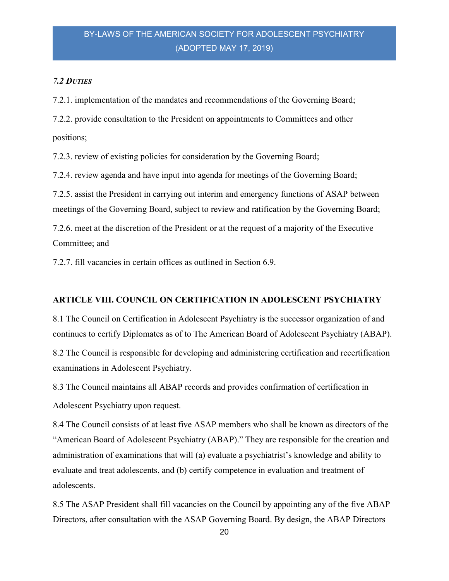## 7.2 DUTIES

7.2.1. implementation of the mandates and recommendations of the Governing Board;

7.2.2. provide consultation to the President on appointments to Committees and other positions;

7.2.3. review of existing policies for consideration by the Governing Board;

7.2.4. review agenda and have input into agenda for meetings of the Governing Board;

7.2.5. assist the President in carrying out interim and emergency functions of ASAP between

meetings of the Governing Board, subject to review and ratification by the Governing Board;

7.2.6. meet at the discretion of the President or at the request of a majority of the Executive Committee; and

7.2.7. fill vacancies in certain offices as outlined in Section 6.9.

### ARTICLE VIII. COUNCIL ON CERTIFICATION IN ADOLESCENT PSYCHIATRY

8.1 The Council on Certification in Adolescent Psychiatry is the successor organization of and continues to certify Diplomates as of to The American Board of Adolescent Psychiatry (ABAP).

8.2 The Council is responsible for developing and administering certification and recertification examinations in Adolescent Psychiatry.

8.3 The Council maintains all ABAP records and provides confirmation of certification in Adolescent Psychiatry upon request.

8.4 The Council consists of at least five ASAP members who shall be known as directors of the "American Board of Adolescent Psychiatry (ABAP)." They are responsible for the creation and administration of examinations that will (a) evaluate a psychiatrist's knowledge and ability to evaluate and treat adolescents, and (b) certify competence in evaluation and treatment of adolescents.

8.5 The ASAP President shall fill vacancies on the Council by appointing any of the five ABAP Directors, after consultation with the ASAP Governing Board. By design, the ABAP Directors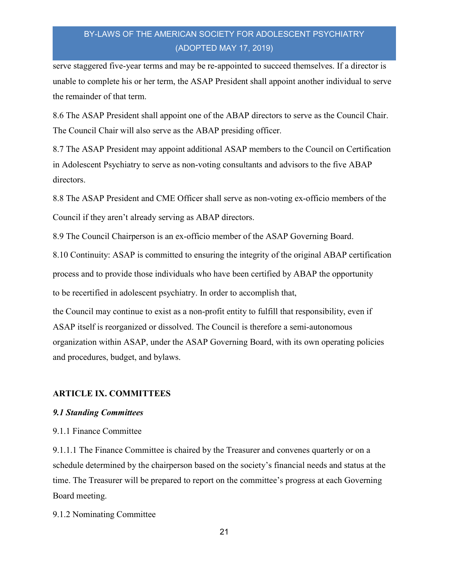serve staggered five-year terms and may be re-appointed to succeed themselves. If a director is unable to complete his or her term, the ASAP President shall appoint another individual to serve the remainder of that term.

8.6 The ASAP President shall appoint one of the ABAP directors to serve as the Council Chair. The Council Chair will also serve as the ABAP presiding officer.

8.7 The ASAP President may appoint additional ASAP members to the Council on Certification in Adolescent Psychiatry to serve as non-voting consultants and advisors to the five ABAP directors.

8.8 The ASAP President and CME Officer shall serve as non-voting ex-officio members of the Council if they aren't already serving as ABAP directors.

8.9 The Council Chairperson is an ex-officio member of the ASAP Governing Board.

8.10 Continuity: ASAP is committed to ensuring the integrity of the original ABAP certification process and to provide those individuals who have been certified by ABAP the opportunity to be recertified in adolescent psychiatry. In order to accomplish that,

the Council may continue to exist as a non-profit entity to fulfill that responsibility, even if ASAP itself is reorganized or dissolved. The Council is therefore a semi-autonomous organization within ASAP, under the ASAP Governing Board, with its own operating policies and procedures, budget, and bylaws.

### ARTICLE IX. COMMITTEES

### 9.1 Standing Committees

#### 9.1.1 Finance Committee

9.1.1.1 The Finance Committee is chaired by the Treasurer and convenes quarterly or on a schedule determined by the chairperson based on the society's financial needs and status at the time. The Treasurer will be prepared to report on the committee's progress at each Governing Board meeting.

### 9.1.2 Nominating Committee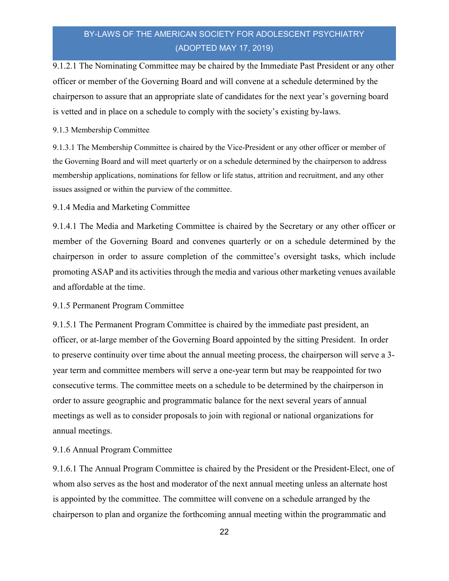9.1.2.1 The Nominating Committee may be chaired by the Immediate Past President or any other officer or member of the Governing Board and will convene at a schedule determined by the chairperson to assure that an appropriate slate of candidates for the next year's governing board is vetted and in place on a schedule to comply with the society's existing by-laws.

#### 9.1.3 Membership Committee

9.1.3.1 The Membership Committee is chaired by the Vice-President or any other officer or member of the Governing Board and will meet quarterly or on a schedule determined by the chairperson to address membership applications, nominations for fellow or life status, attrition and recruitment, and any other issues assigned or within the purview of the committee.

### 9.1.4 Media and Marketing Committee

9.1.4.1 The Media and Marketing Committee is chaired by the Secretary or any other officer or member of the Governing Board and convenes quarterly or on a schedule determined by the chairperson in order to assure completion of the committee's oversight tasks, which include promoting ASAP and its activities through the media and various other marketing venues available and affordable at the time.

## 9.1.5 Permanent Program Committee

9.1.5.1 The Permanent Program Committee is chaired by the immediate past president, an officer, or at-large member of the Governing Board appointed by the sitting President. In order to preserve continuity over time about the annual meeting process, the chairperson will serve a 3 year term and committee members will serve a one-year term but may be reappointed for two consecutive terms. The committee meets on a schedule to be determined by the chairperson in order to assure geographic and programmatic balance for the next several years of annual meetings as well as to consider proposals to join with regional or national organizations for annual meetings.

#### 9.1.6 Annual Program Committee

9.1.6.1 The Annual Program Committee is chaired by the President or the President-Elect, one of whom also serves as the host and moderator of the next annual meeting unless an alternate host is appointed by the committee. The committee will convene on a schedule arranged by the chairperson to plan and organize the forthcoming annual meeting within the programmatic and

22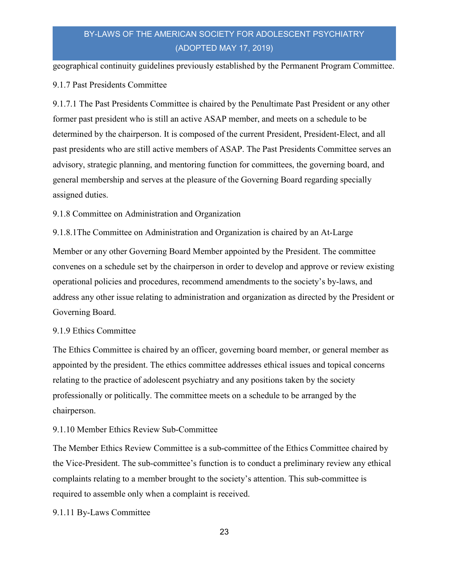geographical continuity guidelines previously established by the Permanent Program Committee.

## 9.1.7 Past Presidents Committee

9.1.7.1 The Past Presidents Committee is chaired by the Penultimate Past President or any other former past president who is still an active ASAP member, and meets on a schedule to be determined by the chairperson. It is composed of the current President, President-Elect, and all past presidents who are still active members of ASAP. The Past Presidents Committee serves an advisory, strategic planning, and mentoring function for committees, the governing board, and general membership and serves at the pleasure of the Governing Board regarding specially assigned duties.

9.1.8 Committee on Administration and Organization

9.1.8.1The Committee on Administration and Organization is chaired by an At-Large

Member or any other Governing Board Member appointed by the President. The committee convenes on a schedule set by the chairperson in order to develop and approve or review existing operational policies and procedures, recommend amendments to the society's by-laws, and address any other issue relating to administration and organization as directed by the President or Governing Board.

## 9.1.9 Ethics Committee

The Ethics Committee is chaired by an officer, governing board member, or general member as appointed by the president. The ethics committee addresses ethical issues and topical concerns relating to the practice of adolescent psychiatry and any positions taken by the society professionally or politically. The committee meets on a schedule to be arranged by the chairperson.

## 9.1.10 Member Ethics Review Sub-Committee

The Member Ethics Review Committee is a sub-committee of the Ethics Committee chaired by the Vice-President. The sub-committee's function is to conduct a preliminary review any ethical complaints relating to a member brought to the society's attention. This sub-committee is required to assemble only when a complaint is received.

9.1.11 By-Laws Committee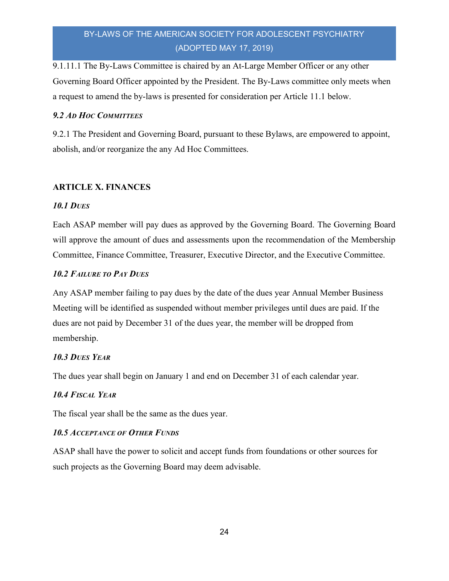9.1.11.1 The By-Laws Committee is chaired by an At-Large Member Officer or any other Governing Board Officer appointed by the President. The By-Laws committee only meets when a request to amend the by-laws is presented for consideration per Article 11.1 below.

### 9.2 AD HOC COMMITTEES

9.2.1 The President and Governing Board, pursuant to these Bylaws, are empowered to appoint, abolish, and/or reorganize the any Ad Hoc Committees.

### ARTICLE X. FINANCES

### 10.1 DUES

Each ASAP member will pay dues as approved by the Governing Board. The Governing Board will approve the amount of dues and assessments upon the recommendation of the Membership Committee, Finance Committee, Treasurer, Executive Director, and the Executive Committee.

### 10.2 FAILURE TO PAY DUES

Any ASAP member failing to pay dues by the date of the dues year Annual Member Business Meeting will be identified as suspended without member privileges until dues are paid. If the dues are not paid by December 31 of the dues year, the member will be dropped from membership.

### 10.3 DUES YEAR

The dues year shall begin on January 1 and end on December 31 of each calendar year.

### 10.4 FISCAL YEAR

The fiscal year shall be the same as the dues year.

### 10.5 ACCEPTANCE OF OTHER FUNDS

ASAP shall have the power to solicit and accept funds from foundations or other sources for such projects as the Governing Board may deem advisable.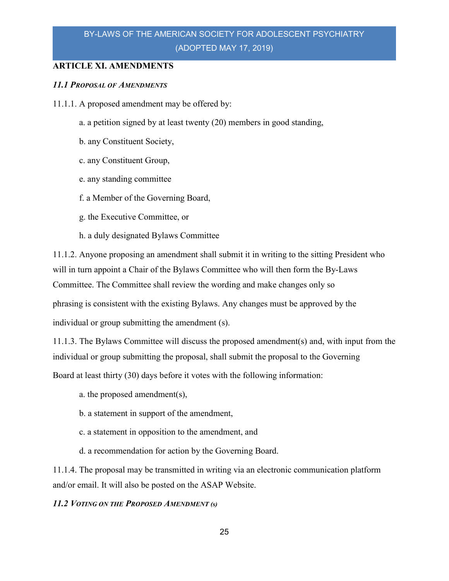## ARTICLE XI. AMENDMENTS

### 11.1 PROPOSAL OF AMENDMENTS

- 11.1.1. A proposed amendment may be offered by:
	- a. a petition signed by at least twenty (20) members in good standing,
	- b. any Constituent Society,
	- c. any Constituent Group,
	- e. any standing committee
	- f. a Member of the Governing Board,
	- g. the Executive Committee, or
	- h. a duly designated Bylaws Committee

11.1.2. Anyone proposing an amendment shall submit it in writing to the sitting President who will in turn appoint a Chair of the Bylaws Committee who will then form the By-Laws Committee. The Committee shall review the wording and make changes only so

phrasing is consistent with the existing Bylaws. Any changes must be approved by the

individual or group submitting the amendment (s).

11.1.3. The Bylaws Committee will discuss the proposed amendment(s) and, with input from the individual or group submitting the proposal, shall submit the proposal to the Governing

Board at least thirty (30) days before it votes with the following information:

- a. the proposed amendment(s),
- b. a statement in support of the amendment,
- c. a statement in opposition to the amendment, and
- d. a recommendation for action by the Governing Board.

11.1.4. The proposal may be transmitted in writing via an electronic communication platform and/or email. It will also be posted on the ASAP Website.

### 11.2 VOTING ON THE PROPOSED AMENDMENT (s)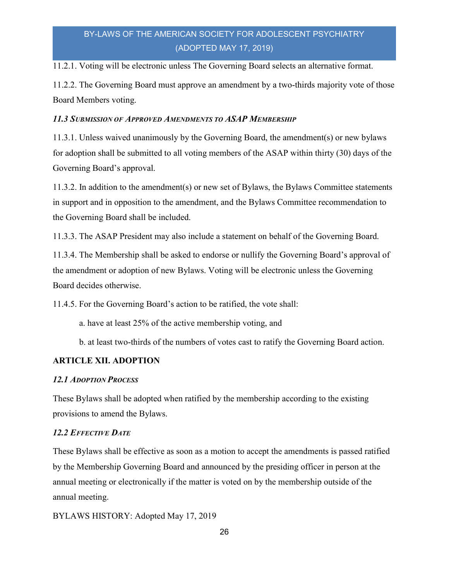11.2.1. Voting will be electronic unless The Governing Board selects an alternative format.

11.2.2. The Governing Board must approve an amendment by a two-thirds majority vote of those Board Members voting.

## 11.3 SUBMISSION OF APPROVED AMENDMENTS TO ASAP MEMBERSHIP

11.3.1. Unless waived unanimously by the Governing Board, the amendment(s) or new bylaws for adoption shall be submitted to all voting members of the ASAP within thirty (30) days of the Governing Board's approval.

11.3.2. In addition to the amendment(s) or new set of Bylaws, the Bylaws Committee statements in support and in opposition to the amendment, and the Bylaws Committee recommendation to the Governing Board shall be included.

11.3.3. The ASAP President may also include a statement on behalf of the Governing Board.

11.3.4. The Membership shall be asked to endorse or nullify the Governing Board's approval of the amendment or adoption of new Bylaws. Voting will be electronic unless the Governing Board decides otherwise.

11.4.5. For the Governing Board's action to be ratified, the vote shall:

a. have at least 25% of the active membership voting, and

b. at least two-thirds of the numbers of votes cast to ratify the Governing Board action.

## ARTICLE XII. ADOPTION

## 12.1 ADOPTION PROCESS

These Bylaws shall be adopted when ratified by the membership according to the existing provisions to amend the Bylaws.

## 12.2 EFFECTIVE DATE

These Bylaws shall be effective as soon as a motion to accept the amendments is passed ratified by the Membership Governing Board and announced by the presiding officer in person at the annual meeting or electronically if the matter is voted on by the membership outside of the annual meeting.

BYLAWS HISTORY: Adopted May 17, 2019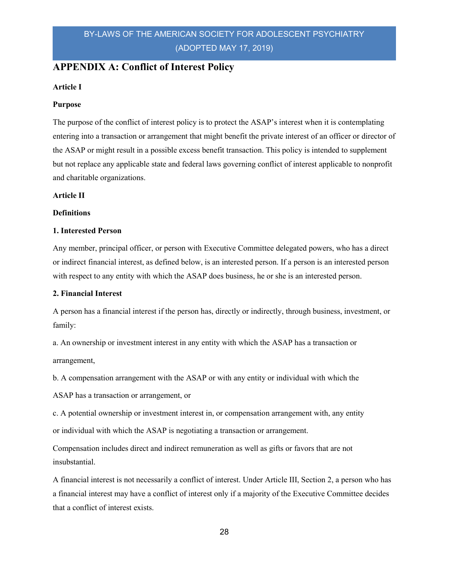## APPENDIX A: Conflict of Interest Policy

#### Article I

#### Purpose

The purpose of the conflict of interest policy is to protect the ASAP's interest when it is contemplating entering into a transaction or arrangement that might benefit the private interest of an officer or director of the ASAP or might result in a possible excess benefit transaction. This policy is intended to supplement but not replace any applicable state and federal laws governing conflict of interest applicable to nonprofit and charitable organizations.

#### Article II

#### **Definitions**

#### 1. Interested Person

Any member, principal officer, or person with Executive Committee delegated powers, who has a direct or indirect financial interest, as defined below, is an interested person. If a person is an interested person with respect to any entity with which the ASAP does business, he or she is an interested person.

#### 2. Financial Interest

A person has a financial interest if the person has, directly or indirectly, through business, investment, or family:

a. An ownership or investment interest in any entity with which the ASAP has a transaction or arrangement,

b. A compensation arrangement with the ASAP or with any entity or individual with which the

ASAP has a transaction or arrangement, or

c. A potential ownership or investment interest in, or compensation arrangement with, any entity or individual with which the ASAP is negotiating a transaction or arrangement.

Compensation includes direct and indirect remuneration as well as gifts or favors that are not insubstantial.

A financial interest is not necessarily a conflict of interest. Under Article III, Section 2, a person who has a financial interest may have a conflict of interest only if a majority of the Executive Committee decides that a conflict of interest exists.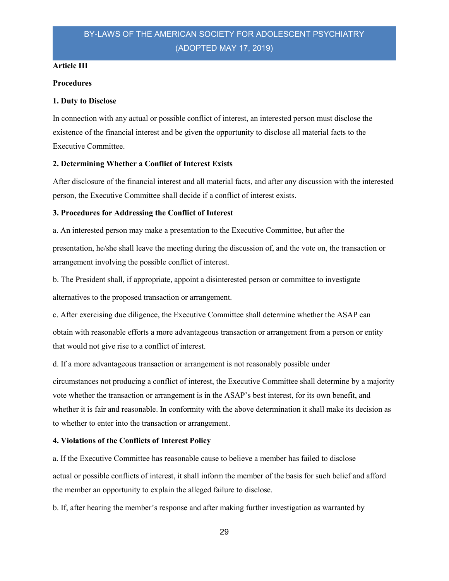### Article III

#### **Procedures**

#### 1. Duty to Disclose

In connection with any actual or possible conflict of interest, an interested person must disclose the existence of the financial interest and be given the opportunity to disclose all material facts to the Executive Committee.

#### 2. Determining Whether a Conflict of Interest Exists

After disclosure of the financial interest and all material facts, and after any discussion with the interested person, the Executive Committee shall decide if a conflict of interest exists.

#### 3. Procedures for Addressing the Conflict of Interest

a. An interested person may make a presentation to the Executive Committee, but after the

presentation, he/she shall leave the meeting during the discussion of, and the vote on, the transaction or arrangement involving the possible conflict of interest.

b. The President shall, if appropriate, appoint a disinterested person or committee to investigate

alternatives to the proposed transaction or arrangement.

c. After exercising due diligence, the Executive Committee shall determine whether the ASAP can obtain with reasonable efforts a more advantageous transaction or arrangement from a person or entity that would not give rise to a conflict of interest.

d. If a more advantageous transaction or arrangement is not reasonably possible under

circumstances not producing a conflict of interest, the Executive Committee shall determine by a majority vote whether the transaction or arrangement is in the ASAP's best interest, for its own benefit, and whether it is fair and reasonable. In conformity with the above determination it shall make its decision as to whether to enter into the transaction or arrangement.

#### 4. Violations of the Conflicts of Interest Policy

a. If the Executive Committee has reasonable cause to believe a member has failed to disclose actual or possible conflicts of interest, it shall inform the member of the basis for such belief and afford the member an opportunity to explain the alleged failure to disclose.

b. If, after hearing the member's response and after making further investigation as warranted by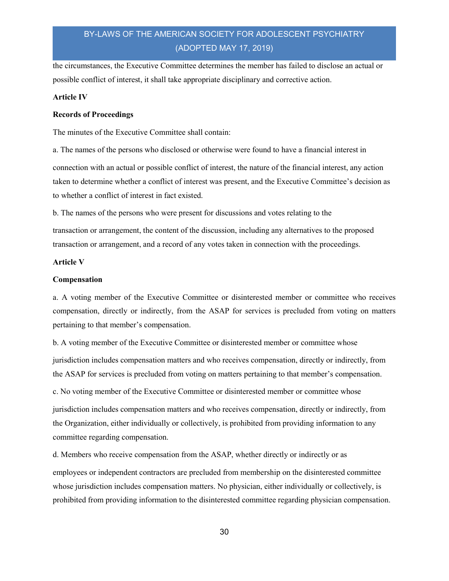the circumstances, the Executive Committee determines the member has failed to disclose an actual or possible conflict of interest, it shall take appropriate disciplinary and corrective action.

### Article IV

#### Records of Proceedings

The minutes of the Executive Committee shall contain:

a. The names of the persons who disclosed or otherwise were found to have a financial interest in connection with an actual or possible conflict of interest, the nature of the financial interest, any action taken to determine whether a conflict of interest was present, and the Executive Committee's decision as to whether a conflict of interest in fact existed.

b. The names of the persons who were present for discussions and votes relating to the

transaction or arrangement, the content of the discussion, including any alternatives to the proposed transaction or arrangement, and a record of any votes taken in connection with the proceedings.

#### Article V

#### Compensation

a. A voting member of the Executive Committee or disinterested member or committee who receives compensation, directly or indirectly, from the ASAP for services is precluded from voting on matters pertaining to that member's compensation.

b. A voting member of the Executive Committee or disinterested member or committee whose jurisdiction includes compensation matters and who receives compensation, directly or indirectly, from the ASAP for services is precluded from voting on matters pertaining to that member's compensation.

c. No voting member of the Executive Committee or disinterested member or committee whose

jurisdiction includes compensation matters and who receives compensation, directly or indirectly, from the Organization, either individually or collectively, is prohibited from providing information to any committee regarding compensation.

d. Members who receive compensation from the ASAP, whether directly or indirectly or as

employees or independent contractors are precluded from membership on the disinterested committee whose jurisdiction includes compensation matters. No physician, either individually or collectively, is prohibited from providing information to the disinterested committee regarding physician compensation.